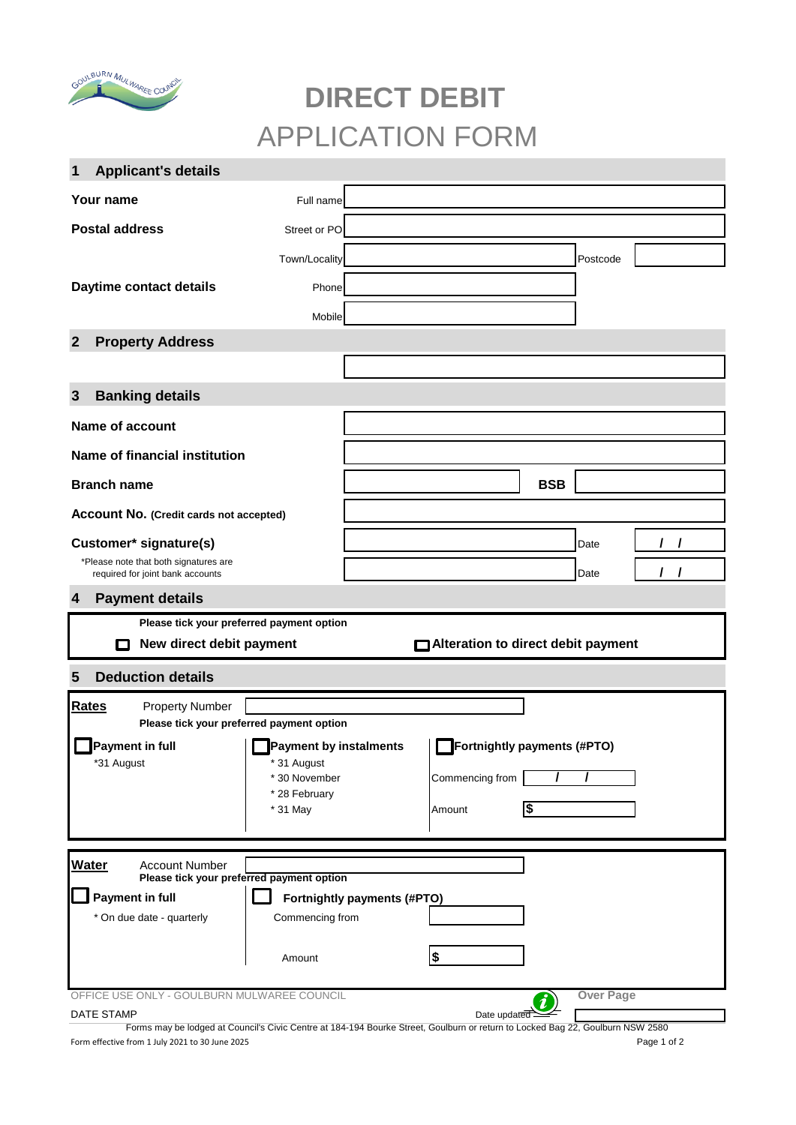

# **DIRECT DEBIT**  APPLICATION FORM

| <b>Applicant's details</b><br>1                                                                              |                           |                  |                  |   |
|--------------------------------------------------------------------------------------------------------------|---------------------------|------------------|------------------|---|
| Your name                                                                                                    | Full name                 |                  |                  |   |
| <b>Postal address</b>                                                                                        | Street or PO              |                  |                  |   |
|                                                                                                              | Town/Locality             |                  | Postcode         |   |
| Daytime contact details                                                                                      | Phone                     |                  |                  |   |
|                                                                                                              |                           |                  |                  |   |
|                                                                                                              | Mobile                    |                  |                  |   |
| <b>Property Address</b><br>$\overline{2}$                                                                    |                           |                  |                  |   |
|                                                                                                              |                           |                  |                  |   |
| <b>Banking details</b><br>$\mathbf{3}$                                                                       |                           |                  |                  |   |
| <b>Name of account</b>                                                                                       |                           |                  |                  |   |
| <b>Name of financial institution</b>                                                                         |                           |                  |                  |   |
| <b>Branch name</b>                                                                                           |                           | <b>BSB</b>       |                  |   |
| <b>Account No. (Credit cards not accepted)</b>                                                               |                           |                  |                  |   |
| Customer* signature(s)                                                                                       |                           |                  | Date             | L |
| *Please note that both signatures are<br>required for joint bank accounts                                    |                           |                  | Date             | 7 |
| $\overline{4}$<br><b>Payment details</b>                                                                     |                           |                  |                  |   |
| Please tick your preferred payment option                                                                    |                           |                  |                  |   |
| New direct debit payment<br>Alteration to direct debit payment<br>П                                          |                           |                  |                  |   |
| <b>Deduction details</b><br>5                                                                                |                           |                  |                  |   |
| Rates<br><b>Property Number</b>                                                                              |                           |                  |                  |   |
| Please tick your preferred payment option                                                                    |                           |                  |                  |   |
| Payment in full<br><b>Payment by instalments</b><br>Fortnightly payments (#PTO)<br>*31 August<br>* 31 August |                           |                  |                  |   |
|                                                                                                              | * 30 November             | Commencing from  |                  |   |
|                                                                                                              | * 28 February<br>* 31 May | \$<br>Amount     |                  |   |
|                                                                                                              |                           |                  |                  |   |
| <b>Water</b><br><b>Account Number</b>                                                                        |                           |                  |                  |   |
| Please tick your preferred payment option                                                                    |                           |                  |                  |   |
| <b>Payment in full</b><br>Fortnightly payments (#PTO)<br>* On due date - quarterly<br>Commencing from        |                           |                  |                  |   |
|                                                                                                              |                           |                  |                  |   |
|                                                                                                              | Amount                    | $\frac{2}{3}$    |                  |   |
|                                                                                                              |                           |                  |                  |   |
| OFFICE USE ONLY - GOULBURN MULWAREE COUNCIL                                                                  |                           | $\boldsymbol{i}$ | <b>Over Page</b> |   |

Form effective from 1 July 2021 to 30 June 2025 Page 1 of 2 Forms may be lodged at Council's Civic Centre at 184-194 Bourke Street, Goulburn or return to Locked Bag 22, Goulburn NSW 2580